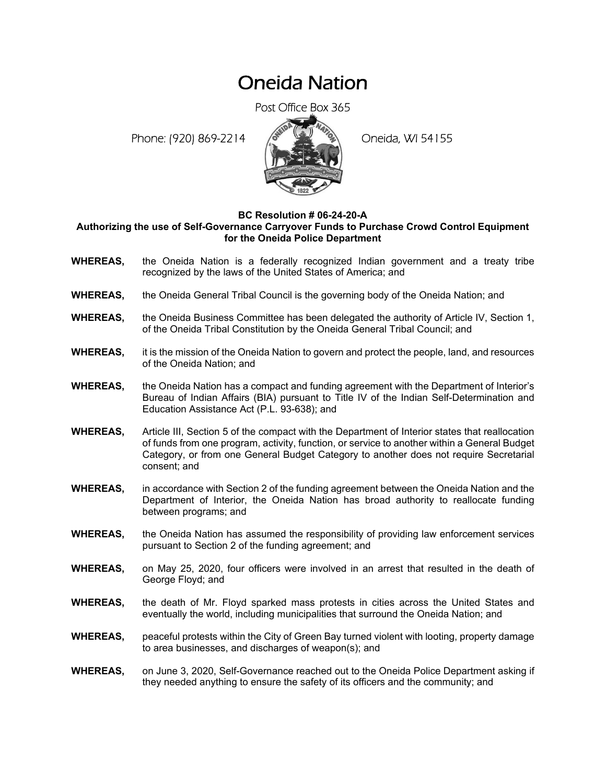## Oneida Nation

Post Office Box 365

Phone: (920) 869-2214 (8 April 194155)



## **BC Resolution # 06-24-20-A**

## **Authorizing the use of Self-Governance Carryover Funds to Purchase Crowd Control Equipment for the Oneida Police Department**

- **WHEREAS,** the Oneida Nation is a federally recognized Indian government and a treaty tribe recognized by the laws of the United States of America; and
- **WHEREAS,** the Oneida General Tribal Council is the governing body of the Oneida Nation; and
- **WHEREAS,** the Oneida Business Committee has been delegated the authority of Article IV, Section 1, of the Oneida Tribal Constitution by the Oneida General Tribal Council; and
- **WHEREAS,** it is the mission of the Oneida Nation to govern and protect the people, land, and resources of the Oneida Nation; and
- **WHEREAS,** the Oneida Nation has a compact and funding agreement with the Department of Interior's Bureau of Indian Affairs (BIA) pursuant to Title IV of the Indian Self-Determination and Education Assistance Act (P.L. 93-638); and
- **WHEREAS,** Article III, Section 5 of the compact with the Department of Interior states that reallocation of funds from one program, activity, function, or service to another within a General Budget Category, or from one General Budget Category to another does not require Secretarial consent; and
- **WHEREAS,** in accordance with Section 2 of the funding agreement between the Oneida Nation and the Department of Interior, the Oneida Nation has broad authority to reallocate funding between programs; and
- **WHEREAS,** the Oneida Nation has assumed the responsibility of providing law enforcement services pursuant to Section 2 of the funding agreement; and
- **WHEREAS,** on May 25, 2020, four officers were involved in an arrest that resulted in the death of George Floyd; and
- **WHEREAS,** the death of Mr. Floyd sparked mass protests in cities across the United States and eventually the world, including municipalities that surround the Oneida Nation; and
- **WHEREAS,** peaceful protests within the City of Green Bay turned violent with looting, property damage to area businesses, and discharges of weapon(s); and
- **WHEREAS,** on June 3, 2020, Self-Governance reached out to the Oneida Police Department asking if they needed anything to ensure the safety of its officers and the community; and